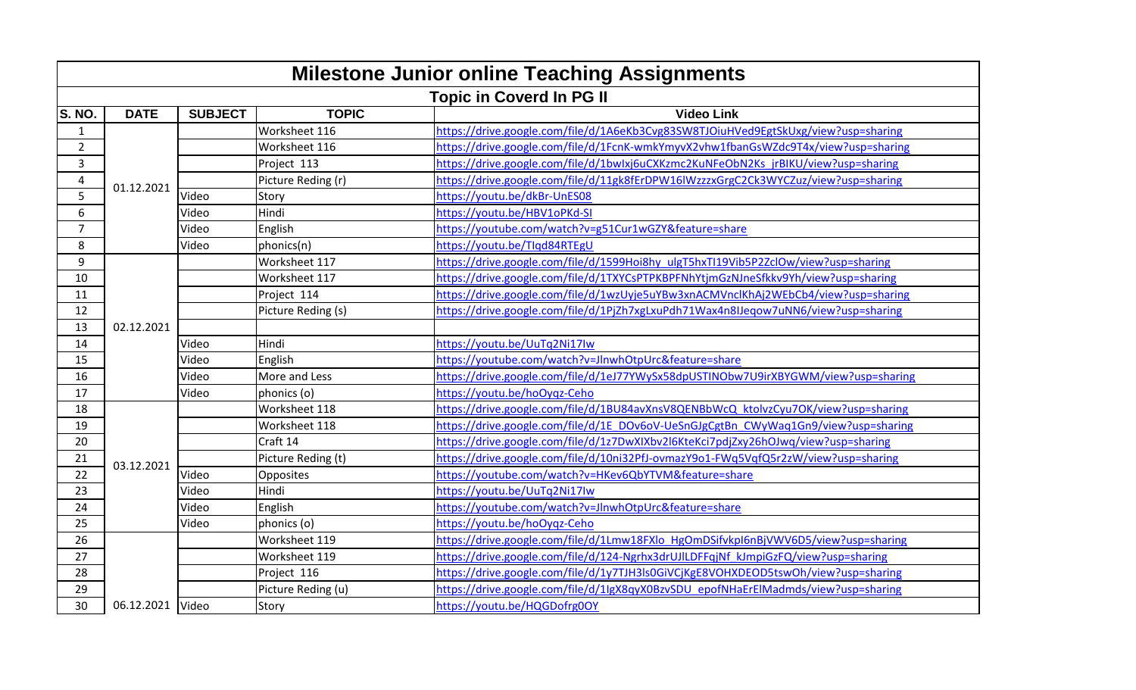|                | <b>Milestone Junior online Teaching Assignments</b> |                |                    |                                                                                    |  |
|----------------|-----------------------------------------------------|----------------|--------------------|------------------------------------------------------------------------------------|--|
|                | <b>Topic in Coverd In PG II</b>                     |                |                    |                                                                                    |  |
| <b>S. NO.</b>  | <b>DATE</b>                                         | <b>SUBJECT</b> | <b>TOPIC</b>       | <b>Video Link</b>                                                                  |  |
| $\mathbf{1}$   |                                                     |                | Worksheet 116      | https://drive.google.com/file/d/1A6eKb3Cvg83SW8TJOiuHVed9EgtSkUxg/view?usp=sharing |  |
| $\overline{2}$ |                                                     |                | Worksheet 116      | https://drive.google.com/file/d/1FcnK-wmkYmyvX2vhw1fbanGsWZdc9T4x/view?usp=sharing |  |
| 3              |                                                     |                | Project 113        | https://drive.google.com/file/d/1bwlxj6uCXKzmc2KuNFeObN2Ks jrBIKU/view?usp=sharing |  |
| 4              | 01.12.2021                                          |                | Picture Reding (r) | https://drive.google.com/file/d/11gk8fErDPW16IWzzzxGrgC2Ck3WYCZuz/view?usp=sharing |  |
| 5              |                                                     | Video          | Story              | https://youtu.be/dkBr-UnES08                                                       |  |
| 6              |                                                     | Video          | Hindi              | https://youtu.be/HBV1oPKd-SI                                                       |  |
| 7              |                                                     | Video          | English            | https://youtube.com/watch?v=g51Cur1wGZY&feature=share                              |  |
| 8              |                                                     | Video          | phonics(n)         | https://youtu.be/TIqd84RTEgU                                                       |  |
| 9              |                                                     |                | Worksheet 117      | https://drive.google.com/file/d/1599Hoi8hy_ulgT5hxTI19Vib5P2ZclOw/view?usp=sharing |  |
| 10             |                                                     |                | Worksheet 117      | https://drive.google.com/file/d/1TXYCsPTPKBPFNhYtjmGzNJneSfkkv9Yh/view?usp=sharing |  |
| 11             |                                                     |                | Project 114        | https://drive.google.com/file/d/1wzUyje5uYBw3xnACMVnclKhAj2WEbCb4/view?usp=sharing |  |
| 12             |                                                     |                | Picture Reding (s) | https://drive.google.com/file/d/1PjZh7xgLxuPdh71Wax4n8IJeqow7uNN6/view?usp=sharing |  |
| 13             | 02.12.2021                                          |                |                    |                                                                                    |  |
| 14             |                                                     | Video          | Hindi              | https://youtu.be/UuTq2Ni17lw                                                       |  |
| 15             |                                                     | Video          | English            | https://youtube.com/watch?v=JlnwhOtpUrc&feature=share                              |  |
| 16             |                                                     | Video          | More and Less      | https://drive.google.com/file/d/1eJ77YWySx58dpUSTINObw7U9irXBYGWM/view?usp=sharing |  |
| 17             |                                                     | Video          | phonics (o)        | https://youtu.be/hoOygz-Ceho                                                       |  |
| 18             |                                                     |                | Worksheet 118      | https://drive.google.com/file/d/1BU84avXnsV8QENBbWcQ ktolvzCyu7OK/view?usp=sharing |  |
| 19             |                                                     |                | Worksheet 118      | https://drive.google.com/file/d/1E_DOv6oV-UeSnGJgCgtBn_CWyWaq1Gn9/view?usp=sharing |  |
| 20             |                                                     |                | Craft 14           | https://drive.google.com/file/d/1z7DwXIXbv2l6KteKci7pdjZxy26hOJwq/view?usp=sharing |  |
| 21             | 03.12.2021                                          |                | Picture Reding (t) | https://drive.google.com/file/d/10ni32PfJ-ovmazY9o1-FWq5VqfQ5r2zW/view?usp=sharing |  |
| 22             |                                                     | Video          | Opposites          | https://youtube.com/watch?v=HKev6QbYTVM&feature=share                              |  |
| 23             |                                                     | Video          | Hindi              | https://youtu.be/UuTq2Ni17lw                                                       |  |
| 24             |                                                     | Video          | English            | https://voutube.com/watch?v=JlnwhOtpUrc&feature=share                              |  |
| 25             |                                                     | Video          | phonics (o)        | https://youtu.be/hoOyqz-Ceho                                                       |  |
| 26             |                                                     |                | Worksheet 119      | https://drive.google.com/file/d/1Lmw18FXlo HgOmDSifvkpI6nBjVWV6D5/view?usp=sharing |  |
| 27             |                                                     |                | Worksheet 119      | https://drive.google.com/file/d/124-Ngrhx3drUJlLDFFqjNf_kJmpiGzFQ/view?usp=sharing |  |
| 28             |                                                     |                | Project 116        | https://drive.google.com/file/d/1y7TJH3ls0GiVCjKgE8VOHXDEOD5tswOh/view?usp=sharing |  |
| 29             |                                                     |                | Picture Reding (u) | https://drive.google.com/file/d/1IgX8qyX0BzvSDU_epofNHaErElMadmds/view?usp=sharing |  |
| 30             | 06.12.2021 Video                                    |                | Story              | https://youtu.be/HQGDofrg0OY                                                       |  |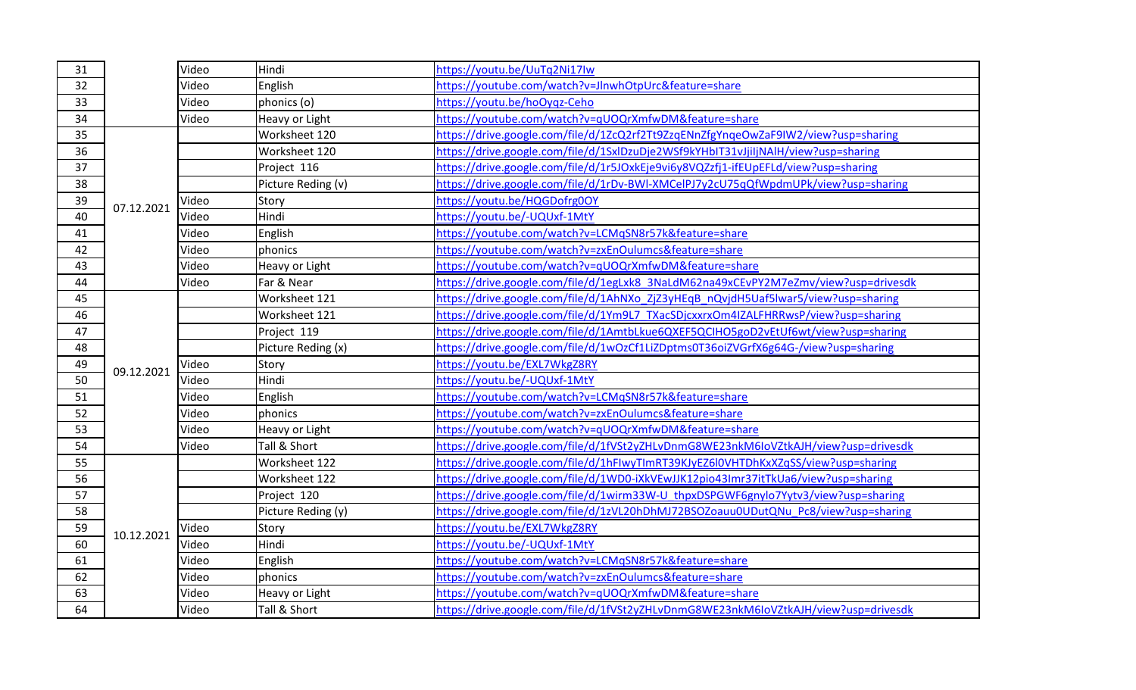| 31 |            | Video | Hindi              | https://youtu.be/UuTq2Ni17lw                                                        |
|----|------------|-------|--------------------|-------------------------------------------------------------------------------------|
| 32 |            | Video | English            | https://youtube.com/watch?v=JlnwhOtpUrc&feature=share                               |
| 33 |            | Video | phonics (o)        | https://youtu.be/hoOyqz-Ceho                                                        |
| 34 |            | Video | Heavy or Light     | https://youtube.com/watch?v=qUOQrXmfwDM&feature=share                               |
| 35 |            |       | Worksheet 120      | https://drive.google.com/file/d/1ZcQ2rf2Tt9ZzqENnZfgYnqeOwZaF9IW2/view?usp=sharing  |
| 36 |            |       | Worksheet 120      | https://drive.google.com/file/d/1SxlDzuDje2WSf9kYHbIT31vJjiIjNAlH/view?usp=sharing  |
| 37 |            |       | Project 116        | https://drive.google.com/file/d/1r5JOxkEje9vi6y8VQZzfj1-ifEUpEFLd/view?usp=sharing  |
| 38 |            |       | Picture Reding (v) | https://drive.google.com/file/d/1rDv-BWI-XMCelPJ7y2cU75qQfWpdmUPk/view?usp=sharing  |
| 39 | 07.12.2021 | Video | Story              | https://youtu.be/HQGDofrg0OY                                                        |
| 40 |            | Video | Hindi              | https://youtu.be/-UQUxf-1MtY                                                        |
| 41 |            | Video | English            | https://youtube.com/watch?v=LCMqSN8r57k&feature=share                               |
| 42 |            | Video | phonics            | https://youtube.com/watch?v=zxEnOulumcs&feature=share                               |
| 43 |            | Video | Heavy or Light     | https://youtube.com/watch?v=qUOQrXmfwDM&feature=share                               |
| 44 |            | Video | Far & Near         | https://drive.google.com/file/d/1egLxk8_3NaLdM62na49xCEvPY2M7eZmv/view?usp=drivesdk |
| 45 |            |       | Worksheet 121      | https://drive.google.com/file/d/1AhNXo ZjZ3yHEqB nQvjdH5Uaf5lwar5/view?usp=sharing  |
| 46 |            |       | Worksheet 121      | https://drive.google.com/file/d/1Ym9L7_TXacSDjcxxrxOm4IZALFHRRwsP/view?usp=sharing  |
| 47 |            |       | Project 119        | https://drive.google.com/file/d/1AmtbLkue6QXEF5QCIHO5goD2vEtUf6wt/view?usp=sharing  |
| 48 |            |       | Picture Reding (x) | https://drive.google.com/file/d/1wOzCf1LiZDptms0T36oiZVGrfX6g64G-/view?usp=sharing  |
| 49 | 09.12.2021 | Video | Story              | https://youtu.be/EXL7WkgZ8RY                                                        |
| 50 |            | Video | Hindi              | https://youtu.be/-UQUxf-1MtY                                                        |
| 51 |            | Video | English            | https://youtube.com/watch?v=LCMqSN8r57k&feature=share                               |
| 52 |            | Video | phonics            | https://youtube.com/watch?v=zxEnOulumcs&feature=share                               |
| 53 |            | Video | Heavy or Light     | https://youtube.com/watch?v=qUOQrXmfwDM&feature=share                               |
| 54 |            | Video | Tall & Short       | https://drive.google.com/file/d/1fVSt2yZHLvDnmG8WE23nkM6IoVZtkAJH/view?usp=drivesdk |
| 55 |            |       | Worksheet 122      | https://drive.google.com/file/d/1hFIwyTImRT39KJyEZ6l0VHTDhKxXZqSS/view?usp=sharing  |
| 56 |            |       | Worksheet 122      | https://drive.google.com/file/d/1WD0-iXkVEwJJK12pio43Imr37itTkUa6/view?usp=sharing  |
| 57 |            |       | Project 120        | https://drive.google.com/file/d/1wirm33W-U_thpxDSPGWF6gnylo7Yytv3/view?usp=sharing  |
| 58 |            |       | Picture Reding (y) | https://drive.google.com/file/d/1zVL20hDhMJ72BSOZoauu0UDutQNu Pc8/view?usp=sharing  |
| 59 | 10.12.2021 | Video | Story              | https://youtu.be/EXL7WkgZ8RY                                                        |
| 60 |            | Video | Hindi              | https://youtu.be/-UQUxf-1MtY                                                        |
| 61 |            | Video | English            | https://youtube.com/watch?v=LCMqSN8r57k&feature=share                               |
| 62 |            | Video | phonics            | https://youtube.com/watch?v=zxEnOulumcs&feature=share                               |
| 63 |            | Video | Heavy or Light     | https://youtube.com/watch?v=qUOQrXmfwDM&feature=share                               |
| 64 |            | Video | Tall & Short       | https://drive.google.com/file/d/1fVSt2yZHLvDnmG8WE23nkM6IoVZtkAJH/view?usp=drivesdk |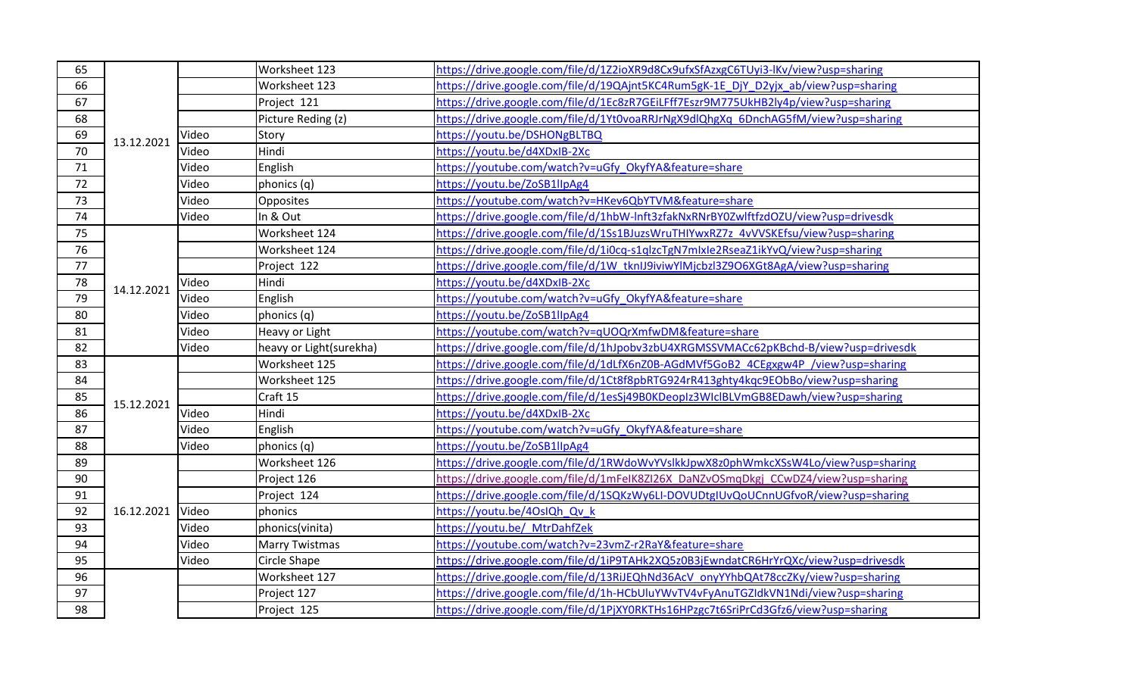| 65 | 13.12.2021 |       | Worksheet 123           | https://drive.google.com/file/d/1Z2ioXR9d8Cx9ufxSfAzxgC6TUyi3-lKv/view?usp=sharing  |
|----|------------|-------|-------------------------|-------------------------------------------------------------------------------------|
| 66 |            |       | Worksheet 123           | https://drive.google.com/file/d/19QAjnt5KC4Rum5gK-1E_DjY_D2yjx_ab/view?usp=sharing  |
| 67 |            |       | Project 121             | https://drive.google.com/file/d/1Ec8zR7GEiLFff7Eszr9M775UkHB2ly4p/view?usp=sharing  |
| 68 |            |       | Picture Reding (z)      | https://drive.google.com/file/d/1Yt0voaRRJrNgX9dlQhgXq 6DnchAG5fM/view?usp=sharing  |
| 69 |            | Video | Story                   | https://youtu.be/DSHONgBLTBQ                                                        |
| 70 |            | Video | Hindi                   | https://youtu.be/d4XDxIB-2Xc                                                        |
| 71 |            | Video | English                 | https://youtube.com/watch?v=uGfy OkyfYA&feature=share                               |
| 72 |            | Video | phonics (q)             | https://youtu.be/ZoSB1llpAg4                                                        |
| 73 |            | Video | Opposites               | https://youtube.com/watch?v=HKev6QbYTVM&feature=share                               |
| 74 |            | Video | In & Out                | https://drive.google.com/file/d/1hbW-lnft3zfakNxRNrBY0ZwlftfzdOZU/view?usp=drivesdk |
| 75 |            |       | Worksheet 124           | https://drive.google.com/file/d/1Ss1BJuzsWruTHIYwxRZ7z 4vVVSKEfsu/view?usp=sharing  |
| 76 |            |       | Worksheet 124           | https://drive.google.com/file/d/1i0cq-s1qlzcTgN7mlxle2RseaZ1ikYvQ/view?usp=sharing  |
| 77 |            |       | Project 122             | https://drive.google.com/file/d/1W_tknIJ9iviwYlMjcbzl3Z9O6XGt8AgA/view?usp=sharing  |
| 78 | 14.12.2021 | Video | Hindi                   | https://youtu.be/d4XDxIB-2Xc                                                        |
| 79 |            | Video | English                 | https://youtube.com/watch?v=uGfy OkyfYA&feature=share                               |
| 80 |            | Video | phonics (q)             | https://youtu.be/ZoSB1llpAg4                                                        |
| 81 |            | Video | Heavy or Light          | https://youtube.com/watch?v=qUOQrXmfwDM&feature=share                               |
| 82 |            | Video | heavy or Light(surekha) | https://drive.google.com/file/d/1hJpobv3zbU4XRGMSSVMACc62pKBchd-B/view?usp=drivesdk |
| 83 |            |       | Worksheet 125           | https://drive.google.com/file/d/1dLfX6nZ0B-AGdMVf5GoB2_4CEgxgw4P_/view?usp=sharing  |
| 84 |            |       | Worksheet 125           | https://drive.google.com/file/d/1Ct8f8pbRTG924rR413ghty4kqc9EObBo/view?usp=sharing  |
| 85 | 15.12.2021 |       | Craft 15                | https://drive.google.com/file/d/1esSj49B0KDeopIz3WIclBLVmGB8EDawh/view?usp=sharing  |
| 86 |            | Video | Hindi                   | https://youtu.be/d4XDxIB-2Xc                                                        |
| 87 |            | Video | English                 | https://youtube.com/watch?v=uGfy_OkyfYA&feature=share                               |
| 88 |            | Video | phonics (q)             | https://youtu.be/ZoSB1llpAg4                                                        |
| 89 |            |       | Worksheet 126           | https://drive.google.com/file/d/1RWdoWvYVslkkJpwX8z0phWmkcXSsW4Lo/view?usp=sharing  |
| 90 | 16.12.2021 |       | Project 126             | https://drive.google.com/file/d/1mFeIK8ZI26X DaNZvOSmqDkgj CCwDZ4/view?usp=sharing  |
| 91 |            |       | Project 124             | https://drive.google.com/file/d/1SQKzWy6LI-DOVUDtgIUvQoUCnnUGfvoR/view?usp=sharing  |
| 92 |            | Video | phonics                 | https://youtu.be/4OsIQh Qv k                                                        |
| 93 |            | Video | phonics(vinita)         | https://youtu.be/ MtrDahfZek                                                        |
| 94 |            | Video | <b>Marry Twistmas</b>   | https://youtube.com/watch?v=23vmZ-r2RaY&feature=share                               |
| 95 |            | Video | Circle Shape            | https://drive.google.com/file/d/1iP9TAHk2XQ5z0B3jEwndatCR6HrYrQXc/view?usp=drivesdk |
| 96 |            |       | Worksheet 127           | https://drive.google.com/file/d/13RiJEQhNd36AcV_onyYYhbQAt78ccZKy/view?usp=sharing  |
| 97 |            |       | Project 127             | https://drive.google.com/file/d/1h-HCbUluYWvTV4vFyAnuTGZIdkVN1Ndi/view?usp=sharing  |
| 98 |            |       | Project 125             | https://drive.google.com/file/d/1PjXY0RKTHs16HPzgc7t6SriPrCd3Gfz6/view?usp=sharing  |